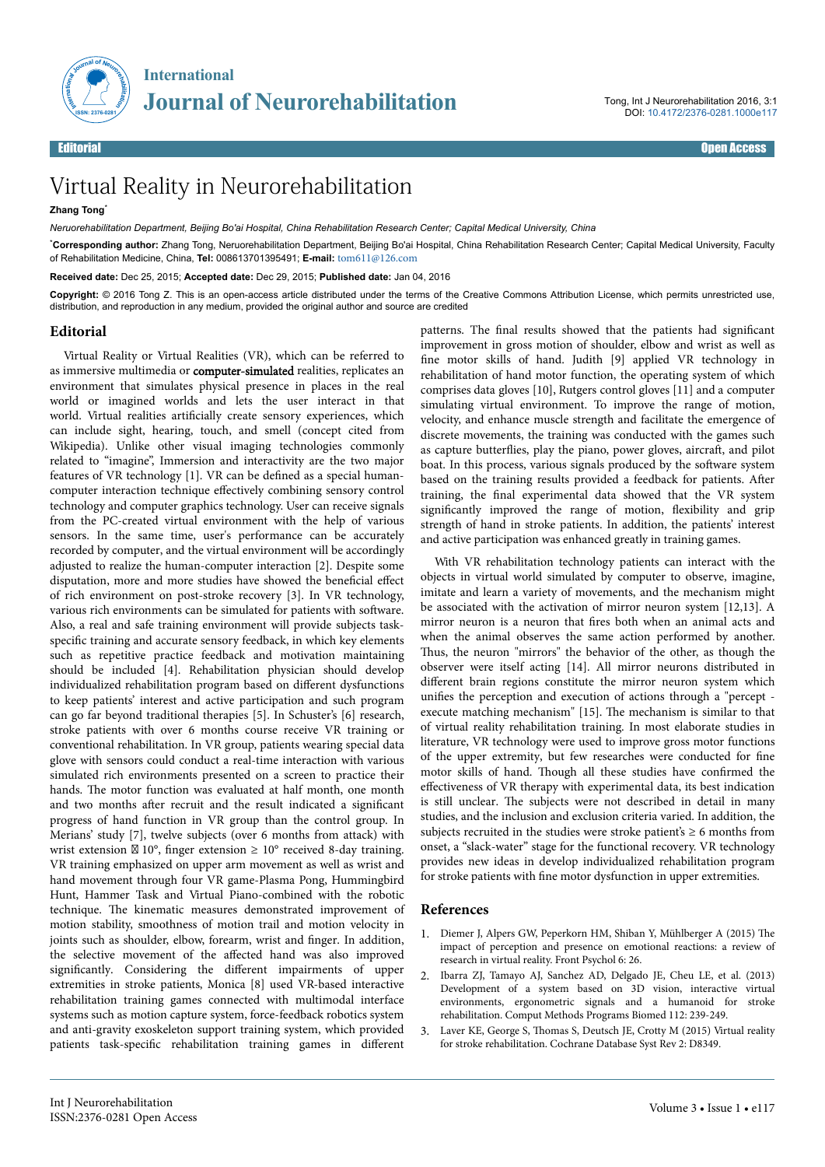

## Virtual Reality in Neurorehabilitation

## **Zhang Tong**\*

*Neruorehabilitation Department, Beijing Bo'ai Hospital, China Rehabilitation Research Center; Capital Medical University, China*

\***Corresponding author:** Zhang Tong, Neruorehabilitation Department, Beijing Bo'ai Hospital, China Rehabilitation Research Center; Capital Medical University, Faculty of Rehabilitation Medicine, China, **Tel:** 008613701395491; **E-mail:** [tom611@126.com](mailto:tom611@126.com)

**Received date:** Dec 25, 2015; **Accepted date:** Dec 29, 2015; **Published date:** Jan 04, 2016

**Copyright:** © 2016 Tong Z. This is an open-access article distributed under the terms of the Creative Commons Attribution License, which permits unrestricted use, distribution, and reproduction in any medium, provided the original author and source are credited

## **Editorial**

Virtual Reality or Virtual Realities (VR), which can be referred to as immersive multimedia or computer-simulated realities, replicates an environment that simulates physical presence in places in the real world or imagined worlds and lets the user interact in that world. Virtual realities artificially create sensory experiences, which can include sight, hearing, touch, and smell (concept cited from Wikipedia). Unlike other visual imaging technologies commonly related to "imagine", Immersion and interactivity are the two major features of VR technology [1]. VR can be defined as a special humancomputer interaction technique effectively combining sensory control technology and computer graphics technology. User can receive signals from the PC-created virtual environment with the help of various sensors. In the same time, user's performance can be accurately recorded by computer, and the virtual environment will be accordingly adjusted to realize the human-computer interaction [2]. Despite some disputation, more and more studies have showed the beneficial effect of rich environment on post-stroke recovery [3]. In VR technology, various rich environments can be simulated for patients with software. Also, a real and safe training environment will provide subjects taskspecific training and accurate sensory feedback, in which key elements such as repetitive practice feedback and motivation maintaining should be included [4]. Rehabilitation physician should develop individualized rehabilitation program based on different dysfunctions to keep patients' interest and active participation and such program can go far beyond traditional therapies [5]. In Schuster's [6] research, stroke patients with over 6 months course receive VR training or conventional rehabilitation. In VR group, patients wearing special data glove with sensors could conduct a real-time interaction with various simulated rich environments presented on a screen to practice their hands. Нe motor function was evaluated at half month, one month and two months after recruit and the result indicated a significant progress of hand function in VR group than the control group. In Merians' study [7], twelve subjects (over 6 months from attack) with wrist extension  $\boxtimes$  10°, finger extension  $\geq$  10° received 8-day training. VR training emphasized on upper arm movement as well as wrist and hand movement through four VR game-Plasma Pong, Hummingbird Hunt, Hammer Task and Virtual Piano-combined with the robotic technique. Нe kinematic measures demonstrated improvement of motion stability, smoothness of motion trail and motion velocity in joints such as shoulder, elbow, forearm, wrist and finger. In addition, the selective movement of the affected hand was also improved significantly. Considering the different impairments of upper extremities in stroke patients, Monica [8] used VR-based interactive rehabilitation training games connected with multimodal interface systems such as motion capture system, force-feedback robotics system and anti-gravity exoskeleton support training system, which provided patients task-specific rehabilitation training games in different

patterns. The final results showed that the patients had significant improvement in gross motion of shoulder, elbow and wrist as well as fine motor skills of hand. Judith [9] applied VR technology in rehabilitation of hand motor function, the operating system of which comprises data gloves [10], Rutgers control gloves [11] and a computer simulating virtual environment. To improve the range of motion, velocity, and enhance muscle strength and facilitate the emergence of discrete movements, the training was conducted with the games such as capture butterflies, play the piano, power gloves, aircraft, and pilot boat. In this process, various signals produced by the software system based on the training results provided a feedback for patients. After training, the final experimental data showed that the VR system significantly improved the range of motion, flexibility and grip strength of hand in stroke patients. In addition, the patients' interest and active participation was enhanced greatly in training games.

With VR rehabilitation technology patients can interact with the objects in virtual world simulated by computer to observe, imagine, imitate and learn a variety of movements, and the mechanism might be associated with the activation of mirror neuron system [12,13]. A mirror neuron is a neuron that fires both when an animal acts and when the animal observes the same action performed by another. Thus, the neuron "mirrors" the behavior of the other, as though the observer were itself acting [14]. All mirror neurons distributed in different brain regions constitute the mirror neuron system which unifies the perception and execution of actions through a "percept execute matching mechanism" [15]. Нe mechanism is similar to that of virtual reality rehabilitation training. In most elaborate studies in literature, VR technology were used to improve gross motor functions of the upper extremity, but few researches were conducted for fine motor skills of hand. Нough all these studies have confirmed the effectiveness of VR therapy with experimental data, its best indication is still unclear. Нe subjects were not described in detail in many studies, and the inclusion and exclusion criteria varied. In addition, the subjects recruited in the studies were stroke patient's  $\geq 6$  months from onset, a "slack-water" stage for the functional recovery. VR technology provides new ideas in develop individualized rehabilitation program for stroke patients with fine motor dysfunction in upper extremities.

## **References**

- 1. [Diemer J, Alpers GW, Peperkorn HM, Shiban Y, Mühlberger A \(2015\)](http://www.ncbi.nlm.nih.gov/pubmed/25688218) Нe [impact of perception and presence on emotional reactions: a review of](http://www.ncbi.nlm.nih.gov/pubmed/25688218) [research in virtual reality. Front Psychol 6: 26.](http://www.ncbi.nlm.nih.gov/pubmed/25688218)
- 2. Ibarra ZJ, Tamayo AJ, Sanchez AD, Delgado JE, Cheu LE, et al. (2013) Development of a system based on 3D vision, interactive virtual environments, ergonometric signals and a humanoid for stroke rehabilitation. Comput Methods Programs Biomed 112: 239-249.
- 3. Laver KE, George S, Нomas S, Deutsch JE, Crotty M (2015) Virtual reality for stroke rehabilitation. Cochrane Database Syst Rev 2: D8349.